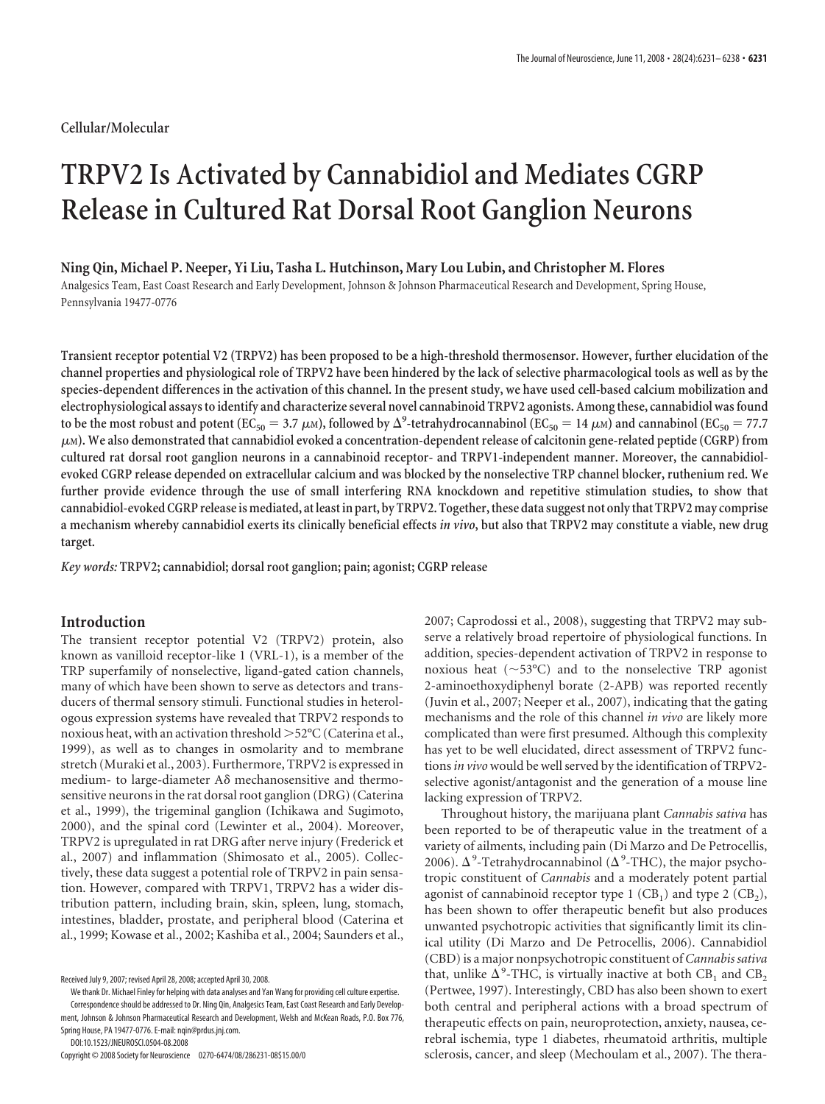# **Cellular/Molecular**

# **TRPV2 Is Activated by Cannabidiol and Mediates CGRP Release in Cultured Rat Dorsal Root Ganglion Neurons**

## **Ning Qin, Michael P. Neeper, Yi Liu, Tasha L. Hutchinson, Mary Lou Lubin, and Christopher M. Flores**

Analgesics Team, East Coast Research and Early Development, Johnson & Johnson Pharmaceutical Research and Development, Spring House, Pennsylvania 19477-0776

**Transient receptor potential V2 (TRPV2) has been proposed to be a high-threshold thermosensor. However, further elucidation of the channel properties and physiological role of TRPV2 have been hindered by the lack of selective pharmacological tools as well as by the species-dependent differences in the activation of this channel. In the present study, we have used cell-based calcium mobilization and electrophysiological assays to identify and characterize several novel cannabinoid TRPV2 agonists. Among these, cannabidiol was found** to be the most robust and potent ( $EC_{50} = 3.7 \mu$ M), followed by  $\Delta^9$ -tetrahydrocannabinol ( $EC_{50} = 14 \mu$ M) and cannabinol ( $EC_{50} = 77.7$ **<sup>M</sup>). We also demonstrated that cannabidiol evoked a concentration-dependent release of calcitonin gene-related peptide (CGRP) from cultured rat dorsal root ganglion neurons in a cannabinoid receptor- and TRPV1-independent manner. Moreover, the cannabidiolevoked CGRP release depended on extracellular calcium and was blocked by the nonselective TRP channel blocker, ruthenium red. We further provide evidence through the use of small interfering RNA knockdown and repetitive stimulation studies, to show that cannabidiol-evoked CGRP release is mediated, at least in part, by TRPV2. Together, these data suggest not only that TRPV2 may comprise a mechanism whereby cannabidiol exerts its clinically beneficial effects** *in vivo***, but also that TRPV2 may constitute a viable, new drug target.**

*Key words:* **TRPV2; cannabidiol; dorsal root ganglion; pain; agonist; CGRP release**

# **Introduction**

The transient receptor potential V2 (TRPV2) protein, also known as vanilloid receptor-like 1 (VRL-1), is a member of the TRP superfamily of nonselective, ligand-gated cation channels, many of which have been shown to serve as detectors and transducers of thermal sensory stimuli. Functional studies in heterologous expression systems have revealed that TRPV2 responds to noxious heat, with an activation threshold >52°C (Caterina et al., 1999), as well as to changes in osmolarity and to membrane stretch (Muraki et al., 2003). Furthermore, TRPV2 is expressed in medium- to large-diameter A $\delta$  mechanosensitive and thermosensitive neurons in the rat dorsal root ganglion (DRG) (Caterina et al., 1999), the trigeminal ganglion (Ichikawa and Sugimoto, 2000), and the spinal cord (Lewinter et al., 2004). Moreover, TRPV2 is upregulated in rat DRG after nerve injury (Frederick et al., 2007) and inflammation (Shimosato et al., 2005). Collectively, these data suggest a potential role of TRPV2 in pain sensation. However, compared with TRPV1, TRPV2 has a wider distribution pattern, including brain, skin, spleen, lung, stomach, intestines, bladder, prostate, and peripheral blood (Caterina et al., 1999; Kowase et al., 2002; Kashiba et al., 2004; Saunders et al.,

DOI:10.1523/JNEUROSCI.0504-08.2008

2007; Caprodossi et al., 2008), suggesting that TRPV2 may subserve a relatively broad repertoire of physiological functions. In addition, species-dependent activation of TRPV2 in response to noxious heat ( $\sim$ 53°C) and to the nonselective TRP agonist 2-aminoethoxydiphenyl borate (2-APB) was reported recently (Juvin et al., 2007; Neeper et al., 2007), indicating that the gating mechanisms and the role of this channel *in vivo* are likely more complicated than were first presumed. Although this complexity has yet to be well elucidated, direct assessment of TRPV2 functions*in vivo* would be well served by the identification of TRPV2 selective agonist/antagonist and the generation of a mouse line lacking expression of TRPV2.

Throughout history, the marijuana plant *Cannabis sativa* has been reported to be of therapeutic value in the treatment of a variety of ailments, including pain (Di Marzo and De Petrocellis, 2006).  $\Delta^9$ -Tetrahydrocannabinol ( $\Delta^9$ -THC), the major psychotropic constituent of *Cannabis* and a moderately potent partial agonist of cannabinoid receptor type  $1$  (CB<sub>1</sub>) and type  $2$  (CB<sub>2</sub>), has been shown to offer therapeutic benefit but also produces unwanted psychotropic activities that significantly limit its clinical utility (Di Marzo and De Petrocellis, 2006). Cannabidiol (CBD) is a major nonpsychotropic constituent of *Cannabis sativa* that, unlike  $\Delta^9$ -THC, is virtually inactive at both CB<sub>1</sub> and CB<sub>2</sub> (Pertwee, 1997). Interestingly, CBD has also been shown to exert both central and peripheral actions with a broad spectrum of therapeutic effects on pain, neuroprotection, anxiety, nausea, cerebral ischemia, type 1 diabetes, rheumatoid arthritis, multiple sclerosis, cancer, and sleep (Mechoulam et al., 2007). The thera-

Received July 9, 2007; revised April 28, 2008; accepted April 30, 2008.

We thank Dr. Michael Finley for helping with data analyses and Yan Wang for providing cell culture expertise. Correspondence should be addressed to Dr. Ning Qin, Analgesics Team, East Coast Research and Early Development, Johnson & Johnson Pharmaceutical Research and Development, Welsh and McKean Roads, P.O. Box 776, Spring House, PA 19477-0776. E-mail: nqin@prdus.jnj.com.

Copyright © 2008 Society for Neuroscience 0270-6474/08/286231-08\$15.00/0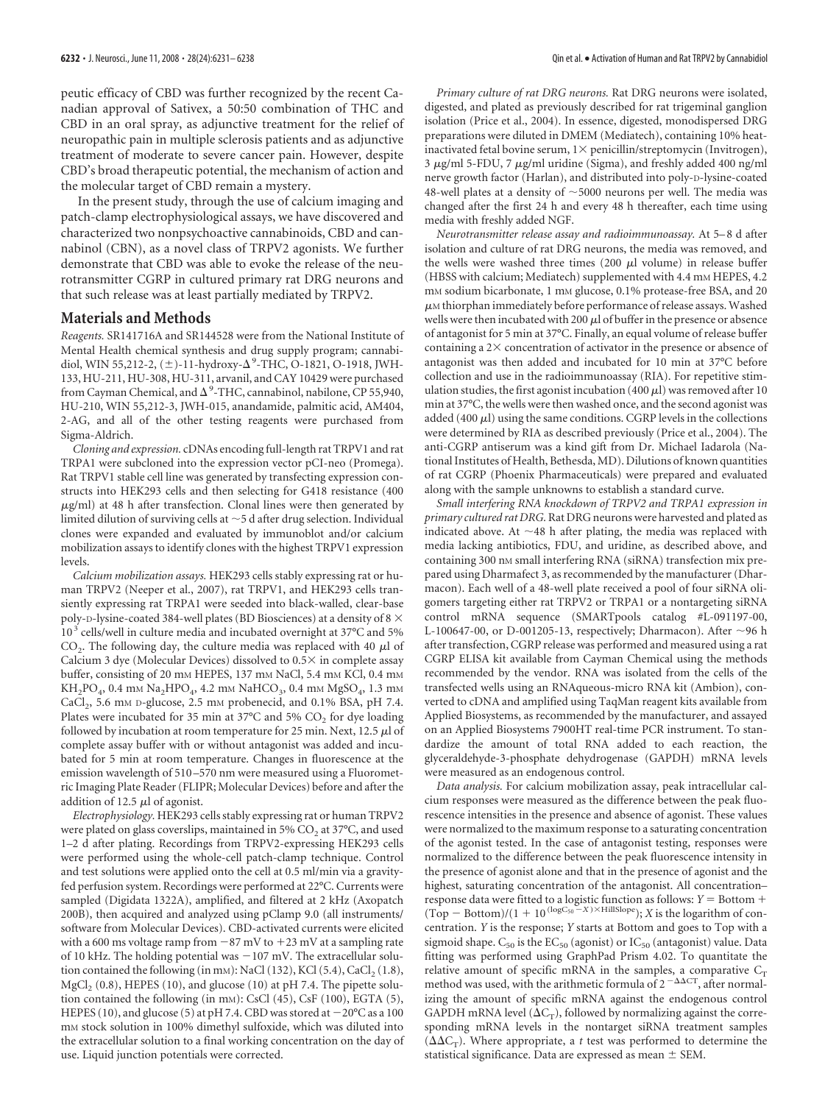peutic efficacy of CBD was further recognized by the recent Canadian approval of Sativex, a 50:50 combination of THC and CBD in an oral spray, as adjunctive treatment for the relief of neuropathic pain in multiple sclerosis patients and as adjunctive treatment of moderate to severe cancer pain. However, despite CBD's broad therapeutic potential, the mechanism of action and the molecular target of CBD remain a mystery.

In the present study, through the use of calcium imaging and patch-clamp electrophysiological assays, we have discovered and characterized two nonpsychoactive cannabinoids, CBD and cannabinol (CBN), as a novel class of TRPV2 agonists. We further demonstrate that CBD was able to evoke the release of the neurotransmitter CGRP in cultured primary rat DRG neurons and that such release was at least partially mediated by TRPV2.

### **Materials and Methods**

*Reagents.* SR141716A and SR144528 were from the National Institute of Mental Health chemical synthesis and drug supply program; cannabidiol, WIN 55,212-2, (±)-11-hydroxy-Δ<sup>9</sup>-THC, O-1821, O-1918, JWH-133, HU-211, HU-308, HU-311, arvanil, and CAY 10429 were purchased from Cayman Chemical, and  $\Delta^9$ -THC, cannabinol, nabilone, CP 55,940, HU-210, WIN 55,212-3, JWH-015, anandamide, palmitic acid, AM404, 2-AG, and all of the other testing reagents were purchased from Sigma-Aldrich.

*Cloning and expression.* cDNAs encoding full-length rat TRPV1 and rat TRPA1 were subcloned into the expression vector pCI-neo (Promega). Rat TRPV1 stable cell line was generated by transfecting expression constructs into HEK293 cells and then selecting for G418 resistance (400  $\mu$ g/ml) at 48 h after transfection. Clonal lines were then generated by limited dilution of surviving cells at  $\sim$  5 d after drug selection. Individual clones were expanded and evaluated by immunoblot and/or calcium mobilization assays to identify clones with the highest TRPV1 expression levels.

*Calcium mobilization assays.* HEK293 cells stably expressing rat or human TRPV2 (Neeper et al., 2007), rat TRPV1, and HEK293 cells transiently expressing rat TRPA1 were seeded into black-walled, clear-base poly-D-lysine-coated 384-well plates (BD Biosciences) at a density of 8  $\times$  $10^3$  cells/well in culture media and incubated overnight at 37°C and 5%  $CO<sub>2</sub>$ . The following day, the culture media was replaced with 40  $\mu$ l of Calcium 3 dye (Molecular Devices) dissolved to  $0.5 \times$  in complete assay buffer, consisting of 20 mm HEPES, 137 mm NaCl, 5.4 mm KCl, 0.4 mm  $KH_2PO_4$ , 0.4 mm  $Na_2HPO_4$ , 4.2 mm  $NaHCO_3$ , 0.4 mm  $MgSO_4$ , 1.3 mm CaCl<sub>2</sub>, 5.6 mm D-glucose, 2.5 mm probenecid, and 0.1% BSA, pH 7.4. Plates were incubated for 35 min at 37°C and 5%  $\mathrm{CO}_2$  for dye loading followed by incubation at room temperature for 25 min. Next, 12.5  $\mu$ l of complete assay buffer with or without antagonist was added and incubated for 5 min at room temperature. Changes in fluorescence at the emission wavelength of 510 –570 nm were measured using a Fluorometric Imaging Plate Reader (FLIPR; Molecular Devices) before and after the addition of 12.5  $\mu$ l of agonist.

*Electrophysiology.* HEK293 cells stably expressing rat or human TRPV2 were plated on glass coverslips, maintained in 5% CO<sub>2</sub> at 37°C, and used 1–2 d after plating. Recordings from TRPV2-expressing HEK293 cells were performed using the whole-cell patch-clamp technique. Control and test solutions were applied onto the cell at 0.5 ml/min via a gravityfed perfusion system. Recordings were performed at 22°C. Currents were sampled (Digidata 1322A), amplified, and filtered at 2 kHz (Axopatch 200B), then acquired and analyzed using pClamp 9.0 (all instruments/ software from Molecular Devices). CBD-activated currents were elicited with a 600 ms voltage ramp from  $-87$  mV to  $+23$  mV at a sampling rate of 10 kHz. The holding potential was  $-107$  mV. The extracellular solution contained the following (in mm): NaCl (132), KCl (5.4), CaCl<sub>2</sub> (1.8),  $MgCl<sub>2</sub>$  (0.8), HEPES (10), and glucose (10) at pH 7.4. The pipette solution contained the following (in mM): CsCl (45), CsF (100), EGTA (5), HEPES (10), and glucose (5) at pH 7.4. CBD was stored at  $-20^{\circ}$ C as a 100 mM stock solution in 100% dimethyl sulfoxide, which was diluted into the extracellular solution to a final working concentration on the day of use. Liquid junction potentials were corrected.

*Primary culture of rat DRG neurons.* Rat DRG neurons were isolated, digested, and plated as previously described for rat trigeminal ganglion isolation (Price et al., 2004). In essence, digested, monodispersed DRG preparations were diluted in DMEM (Mediatech), containing 10% heatinactivated fetal bovine serum,  $1 \times$  penicillin/streptomycin (Invitrogen),  $3 \mu$ g/ml 5-FDU, 7  $\mu$ g/ml uridine (Sigma), and freshly added 400 ng/ml nerve growth factor (Harlan), and distributed into poly-D-lysine-coated 48-well plates at a density of  $\sim$  5000 neurons per well. The media was changed after the first 24 h and every 48 h thereafter, each time using media with freshly added NGF.

*Neurotransmitter release assay and radioimmunoassay.* At 5– 8 d after isolation and culture of rat DRG neurons, the media was removed, and the wells were washed three times (200  $\mu$ l volume) in release buffer (HBSS with calcium; Mediatech) supplemented with 4.4 mm HEPES, 4.2 mm sodium bicarbonate, 1 mm glucose, 0.1% protease-free BSA, and 20  $\mu$ M thiorphan immediately before performance of release assays. Washed wells were then incubated with 200  $\mu$ l of buffer in the presence or absence of antagonist for 5 min at 37°C. Finally, an equal volume of release buffer containing a  $2\times$  concentration of activator in the presence or absence of antagonist was then added and incubated for 10 min at 37°C before collection and use in the radioimmunoassay (RIA). For repetitive stimulation studies, the first agonist incubation (400  $\mu$ l) was removed after 10 min at 37°C, the wells were then washed once, and the second agonist was added (400  $\mu$ l) using the same conditions. CGRP levels in the collections were determined by RIA as described previously (Price et al., 2004). The anti-CGRP antiserum was a kind gift from Dr. Michael Iadarola (National Institutes of Health, Bethesda, MD). Dilutions of known quantities of rat CGRP (Phoenix Pharmaceuticals) were prepared and evaluated along with the sample unknowns to establish a standard curve.

*Small interfering RNA knockdown of TRPV2 and TRPA1 expression in primary cultured rat DRG.*Rat DRG neurons were harvested and plated as indicated above. At  $\sim$ 48 h after plating, the media was replaced with media lacking antibiotics, FDU, and uridine, as described above, and containing 300 nm small interfering RNA (siRNA) transfection mix prepared using Dharmafect 3, as recommended by the manufacturer (Dharmacon). Each well of a 48-well plate received a pool of four siRNA oligomers targeting either rat TRPV2 or TRPA1 or a nontargeting siRNA control mRNA sequence (SMARTpools catalog #L-091197-00, L-100647-00, or D-001205-13, respectively; Dharmacon). After  $\sim$ 96 h after transfection, CGRP release was performed and measured using a rat CGRP ELISA kit available from Cayman Chemical using the methods recommended by the vendor. RNA was isolated from the cells of the transfected wells using an RNAqueous-micro RNA kit (Ambion), converted to cDNA and amplified using TaqMan reagent kits available from Applied Biosystems, as recommended by the manufacturer, and assayed on an Applied Biosystems 7900HT real-time PCR instrument. To standardize the amount of total RNA added to each reaction, the glyceraldehyde-3-phosphate dehydrogenase (GAPDH) mRNA levels were measured as an endogenous control.

*Data analysis.* For calcium mobilization assay, peak intracellular calcium responses were measured as the difference between the peak fluorescence intensities in the presence and absence of agonist. These values were normalized to the maximum response to a saturating concentration of the agonist tested. In the case of antagonist testing, responses were normalized to the difference between the peak fluorescence intensity in the presence of agonist alone and that in the presence of agonist and the highest, saturating concentration of the antagonist. All concentration– response data were fitted to a logistic function as follows:  $Y =$  Bottom +  $(Top - Bottom)/(1 + 10^{(logC_{50} - X) \times HillSlope})$ ; *X* is the logarithm of concentration. *Y* is the response; *Y* starts at Bottom and goes to Top with a sigmoid shape.  $C_{50}$  is the  $EC_{50}$  (agonist) or  $IC_{50}$  (antagonist) value. Data fitting was performed using GraphPad Prism 4.02. To quantitate the relative amount of specific mRNA in the samples, a comparative  $C_T$ method was used, with the arithmetic formula of  $2^{-\Delta\Delta CT}$ , after normalizing the amount of specific mRNA against the endogenous control GAPDH mRNA level ( $\Delta C_T$ ), followed by normalizing against the corresponding mRNA levels in the nontarget siRNA treatment samples  $(\Delta \Delta C_T)$ . Where appropriate, a *t* test was performed to determine the statistical significance. Data are expressed as mean  $\pm$  SEM.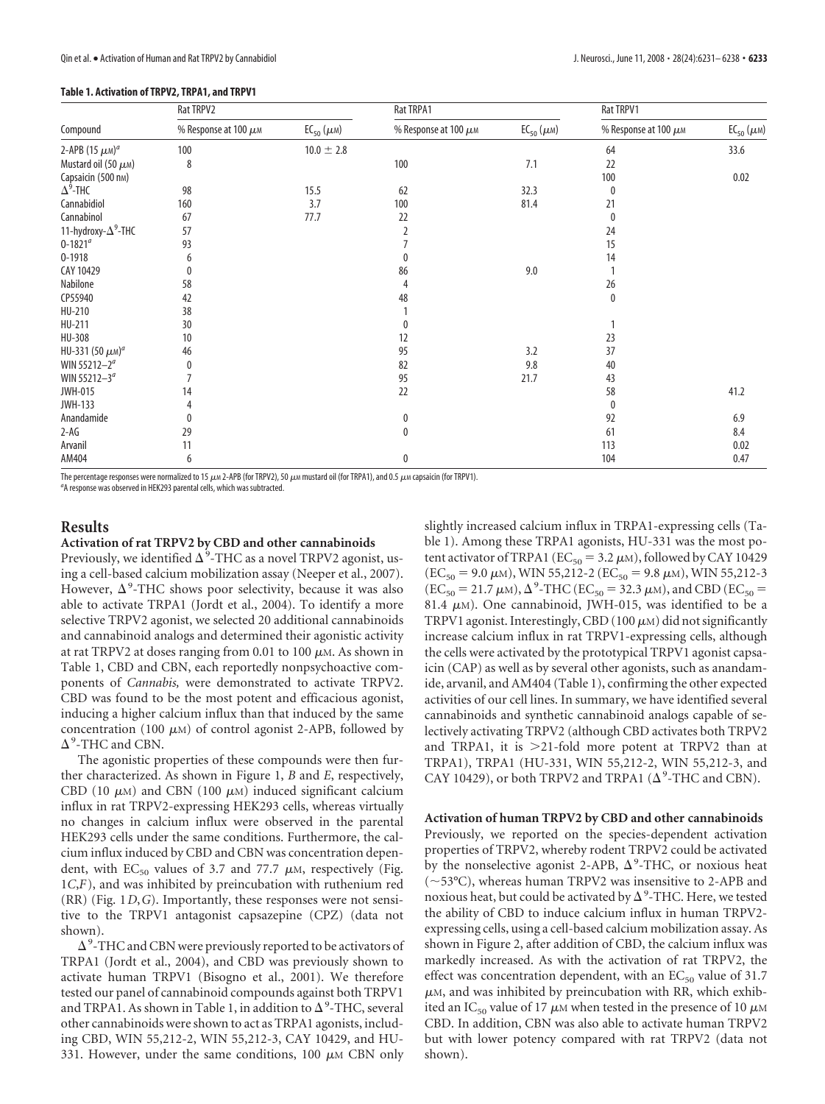| Compound                         | Rat TRPV2                 |                        | Rat TRPA1                 |                        | Rat TRPV1                 |                        |
|----------------------------------|---------------------------|------------------------|---------------------------|------------------------|---------------------------|------------------------|
|                                  | % Response at 100 $\mu$ M | $EC_{50}(\mu\text{m})$ | % Response at 100 $\mu$ M | $EC_{50}(\mu\text{m})$ | % Response at 100 $\mu$ M | $EC_{50}(\mu\text{m})$ |
| 2-APB (15 $\mu$ M) <sup>a</sup>  | 100                       | $10.0 \pm 2.8$         |                           |                        | 64                        | 33.6                   |
| Mustard oil (50 $\mu$ M)         | 8                         |                        | 100                       | 7.1                    | 22                        |                        |
| Capsaicin (500 nm)               |                           |                        |                           |                        | 100                       | 0.02                   |
| $\Delta^9$ -THC                  | 98                        | 15.5                   | 62                        | 32.3                   | 0                         |                        |
| Cannabidiol                      | 160                       | 3.7                    | 100                       | 81.4                   | 21                        |                        |
| Cannabinol                       | 67                        | 77.7                   | 22                        |                        | $\pmb{0}$                 |                        |
| 11-hydroxy- $\Delta^9$ -THC      | 57                        |                        | $\overline{2}$            |                        | 24                        |                        |
| $0 - 1821^a$                     | 93                        |                        |                           |                        | 15                        |                        |
| $0 - 1918$                       | 6                         |                        | 0                         |                        | 14                        |                        |
| CAY 10429                        |                           |                        | 86                        | 9.0                    |                           |                        |
| Nabilone                         | 58                        |                        | 4                         |                        | 26                        |                        |
| CP55940                          | 42                        |                        | 48                        |                        | 0                         |                        |
| HU-210                           | 38                        |                        |                           |                        |                           |                        |
| HU-211                           | 30                        |                        | 0                         |                        |                           |                        |
| HU-308                           | 10                        |                        | 12                        |                        | 23                        |                        |
| HU-331 (50 $\mu$ M) <sup>a</sup> | 46                        |                        | 95                        | 3.2                    | 37                        |                        |
| WIN 55212-2 <sup>a</sup>         | 0                         |                        | 82                        | 9.8                    | 40                        |                        |
| WIN 55212-3 <sup>a</sup>         |                           |                        | 95                        | 21.7                   | 43                        |                        |
| <b>JWH-015</b>                   | 14                        |                        | 22                        |                        | 58                        | 41.2                   |
| <b>JWH-133</b>                   |                           |                        |                           |                        | 0                         |                        |
| Anandamide                       |                           |                        | 0                         |                        | 92                        | 6.9                    |
| $2-AG$                           | 29                        |                        | $\mathbf 0$               |                        | 61                        | 8.4                    |
| Arvanil                          | 11                        |                        |                           |                        | 113                       | 0.02                   |
| AM404                            | 6                         |                        | 0                         |                        | 104                       | 0.47                   |

The percentage responses were normalized to 15  $\mu$ M 2-APB (for TRPV2), 50  $\mu$ M mustard oil (for TRPA1), and 0.5  $\mu$ M capsaicin (for TRPV1).

<sup>a</sup>A response was observed in HEK293 parental cells, which was subtracted.

# **Results**

**Activation of rat TRPV2 by CBD and other cannabinoids**

Previously, we identified  $\Delta^9\text{-}\text{THC}$  as a novel TRPV2 agonist, using a cell-based calcium mobilization assay (Neeper et al., 2007). However,  $\Delta^9$ -THC shows poor selectivity, because it was also able to activate TRPA1 (Jordt et al., 2004). To identify a more selective TRPV2 agonist, we selected 20 additional cannabinoids and cannabinoid analogs and determined their agonistic activity at rat TRPV2 at doses ranging from 0.01 to 100  $\mu$ M. As shown in Table 1, CBD and CBN, each reportedly nonpsychoactive components of *Cannabis,* were demonstrated to activate TRPV2. CBD was found to be the most potent and efficacious agonist, inducing a higher calcium influx than that induced by the same concentration (100  $\mu$ M) of control agonist 2-APB, followed by  $\Delta^9$ -THC and CBN.

The agonistic properties of these compounds were then further characterized. As shown in Figure 1, *B* and *E*, respectively, CBD (10  $\mu$ M) and CBN (100  $\mu$ M) induced significant calcium influx in rat TRPV2-expressing HEK293 cells, whereas virtually no changes in calcium influx were observed in the parental HEK293 cells under the same conditions. Furthermore, the calcium influx induced by CBD and CBN was concentration dependent, with  $EC_{50}$  values of 3.7 and 77.7  $\mu$ M, respectively (Fig. 1*C*,*F*), and was inhibited by preincubation with ruthenium red (RR) (Fig. 1*D*,*G*). Importantly, these responses were not sensitive to the TRPV1 antagonist capsazepine (CPZ) (data not shown).

 $\Delta$ <sup>9</sup>-THC and CBN were previously reported to be activators of TRPA1 (Jordt et al., 2004), and CBD was previously shown to activate human TRPV1 (Bisogno et al., 2001). We therefore tested our panel of cannabinoid compounds against both TRPV1 and TRPA1. As shown in Table 1, in addition to  $\Delta^9$ -THC, several other cannabinoids were shown to act as TRPA1 agonists, including CBD, WIN 55,212-2, WIN 55,212-3, CAY 10429, and HU-331. However, under the same conditions, 100  $\mu$ M CBN only slightly increased calcium influx in TRPA1-expressing cells (Table 1). Among these TRPA1 agonists, HU-331 was the most potent activator of TRPA1 ( $EC_{50} = 3.2 \mu M$ ), followed by CAY 10429  $(EC_{50} = 9.0 \mu M)$ , WIN 55,212-2 ( $EC_{50} = 9.8 \mu M$ ), WIN 55,212-3  $(EC_{50} = 21.7 \mu M)$ ,  $\Delta^9$ -THC (EC<sub>50</sub> = 32.3  $\mu$ M), and CBD (EC<sub>50</sub> = 81.4  $\mu$ M). One cannabinoid, JWH-015, was identified to be a TRPV1 agonist. Interestingly, CBD (100  $\mu$ M) did not significantly increase calcium influx in rat TRPV1-expressing cells, although the cells were activated by the prototypical TRPV1 agonist capsaicin (CAP) as well as by several other agonists, such as anandamide, arvanil, and AM404 (Table 1), confirming the other expected activities of our cell lines. In summary, we have identified several cannabinoids and synthetic cannabinoid analogs capable of selectively activating TRPV2 (although CBD activates both TRPV2 and TRPA1, it is  $>$ 21-fold more potent at TRPV2 than at TRPA1), TRPA1 (HU-331, WIN 55,212-2, WIN 55,212-3, and CAY 10429), or both TRPV2 and TRPA1 ( $\Delta^9$ -THC and CBN).

#### **Activation of human TRPV2 by CBD and other cannabinoids**

Previously, we reported on the species-dependent activation properties of TRPV2, whereby rodent TRPV2 could be activated by the nonselective agonist 2-APB,  $\Delta^9$ -THC, or noxious heat  $(-53^{\circ}C)$ , whereas human TRPV2 was insensitive to 2-APB and noxious heat, but could be activated by  $\Delta^{\text{o}}\text{-}\text{THC}.$  Here, we tested the ability of CBD to induce calcium influx in human TRPV2 expressing cells, using a cell-based calcium mobilization assay. As shown in Figure 2, after addition of CBD, the calcium influx was markedly increased. As with the activation of rat TRPV2, the effect was concentration dependent, with an  $EC_{50}$  value of 31.7  $\mu$ M, and was inhibited by preincubation with RR, which exhibited an IC<sub>50</sub> value of 17  $\mu$ M when tested in the presence of 10  $\mu$ M CBD. In addition, CBN was also able to activate human TRPV2 but with lower potency compared with rat TRPV2 (data not shown).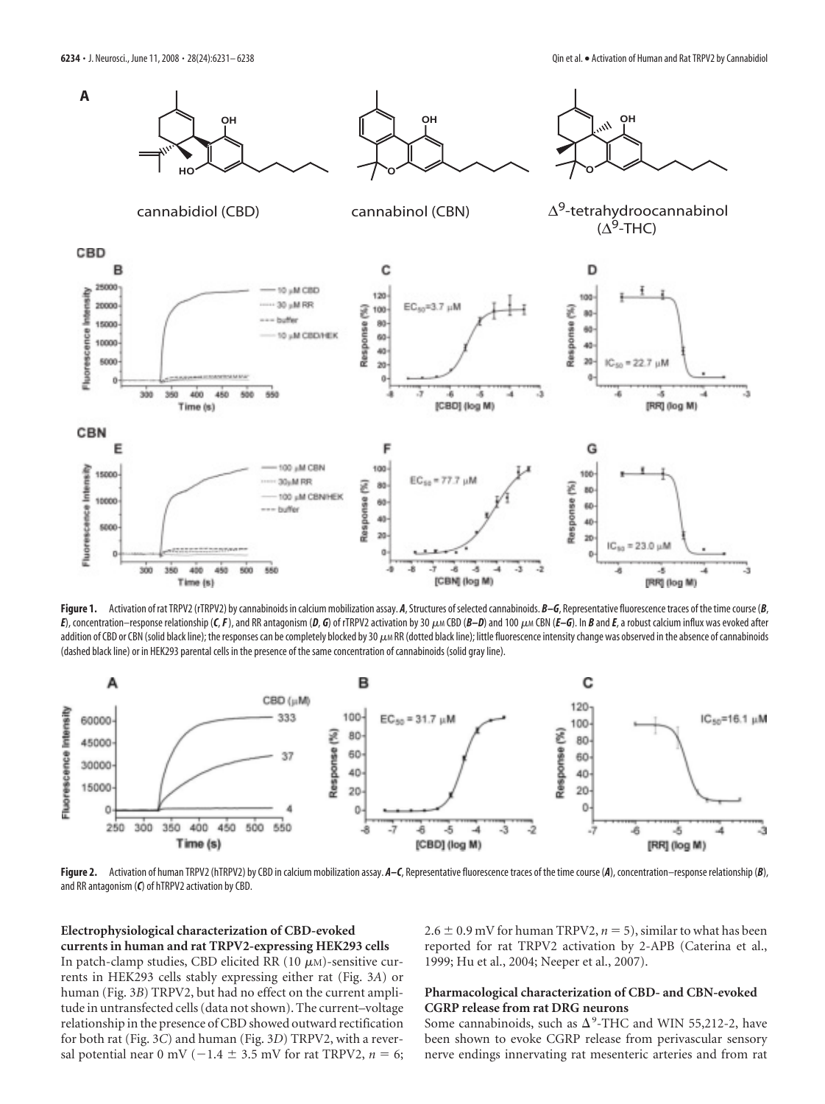

**Figure 1.** Activation of rat TRPV2 (rTRPV2) by cannabinoids in calcium mobilization assay. *A*, Structures of selected cannabinoids. *B–G*, Representative fluorescence traces of the time course (*B*, E), concentration-response relationship (C, F), and RR antagonism (D, G) of rTRPV2 activation by 30  $\mu$  M CBD (B-D) and 100  $\mu$  M CBN (E-G). In B and E, a robust calcium influx was evoked after addition of CBD or CBN (solid black line); the responses can be completely blocked by 30  $\mu$ m RR (dotted black line); little fluorescence intensity change was observed in the absence of cannabinoids (dashed black line) or in HEK293 parental cells in the presence of the same concentration of cannabinoids (solid gray line).



Figure 2. Activation of human TRPV2 (hTRPV2) by CBD in calcium mobilization assay. A–C, Representative fluorescence traces of the time course (A), concentration–response relationship (B), and RR antagonism (*C*) of hTRPV2 activation by CBD.

# **Electrophysiological characterization of CBD-evoked currents in human and rat TRPV2-expressing HEK293 cells**

In patch-clamp studies, CBD elicited RR (10  $\mu$ M)-sensitive currents in HEK293 cells stably expressing either rat (Fig. 3*A*) or human (Fig. 3*B*) TRPV2, but had no effect on the current amplitude in untransfected cells (data not shown). The current–voltage relationship in the presence of CBD showed outward rectification for both rat (Fig. 3*C*) and human (Fig. 3*D*) TRPV2, with a reversal potential near 0 mV ( $-1.4 \pm 3.5$  mV for rat TRPV2,  $n = 6$ ;

 $2.6 \pm 0.9$  mV for human TRPV2,  $n = 5$ ), similar to what has been reported for rat TRPV2 activation by 2-APB (Caterina et al., 1999; Hu et al., 2004; Neeper et al., 2007).

## **Pharmacological characterization of CBD- and CBN-evoked CGRP release from rat DRG neurons**

Some cannabinoids, such as  $\Delta^9$ -THC and WIN 55,212-2, have been shown to evoke CGRP release from perivascular sensory nerve endings innervating rat mesenteric arteries and from rat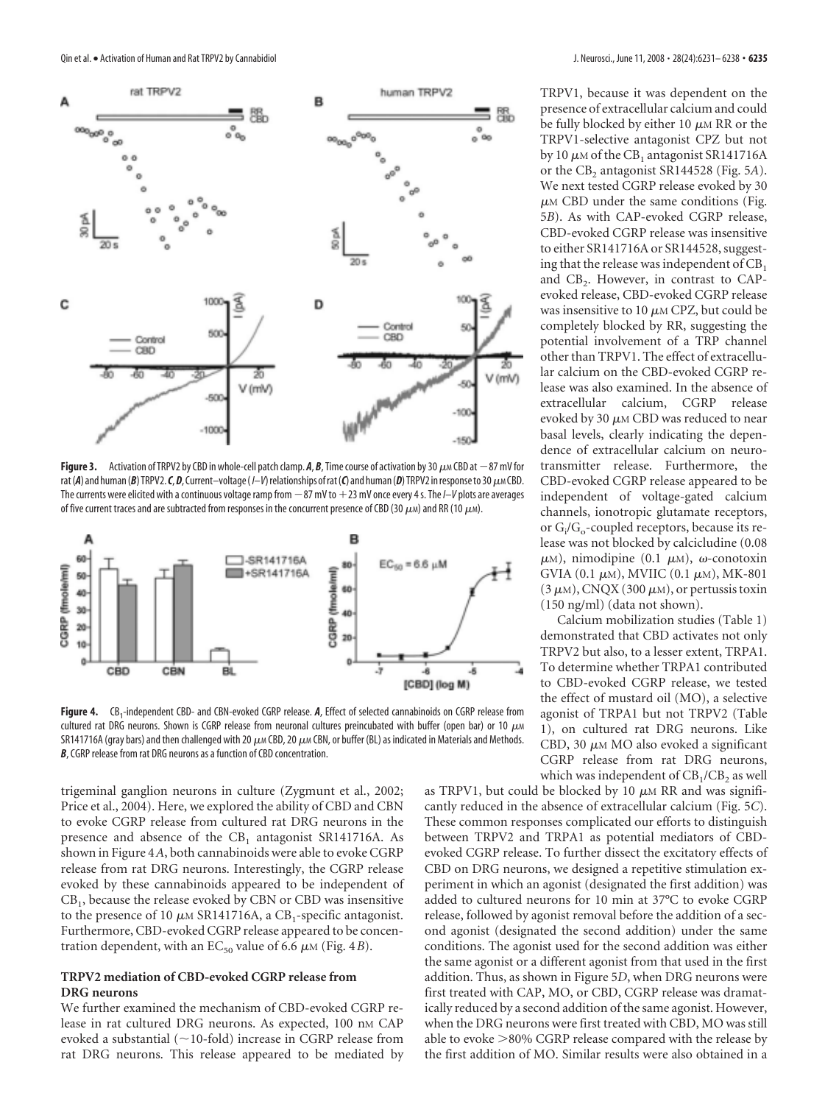

**Figure 3.** Activation of TRPV2 by CBD in whole-cell patch clamp.  $A$ ,  $B$ , Time course of activation by 30  $\mu$ M CBD at  $-87$  mV for rat (A) and human (B) TRPV2. C, D, Current–voltage (I–V) relationships of rat (C) and human (D) TRPV2 in response to 30  $\mu$ M CBD. The currents were elicited with a continuous voltage ramp from  $-87$  mV to  $+23$  mV once every 4 s. The I–V plots are averages of five current traces and are subtracted from responses in the concurrent presence of CBD (30  $\mu$ M) and RR (10  $\mu$ M).



Figure 4. CB<sub>1</sub>-independent CBD- and CBN-evoked CGRP release. A, Effect of selected cannabinoids on CGRP release from cultured rat DRG neurons. Shown is CGRP release from neuronal cultures preincubated with buffer (open bar) or 10  $\mu$ M SR141716A (gray bars) and then challenged with 20  $\mu$ M CBD, 20  $\mu$ M CBN, or buffer (BL) as indicated in Materials and Methods. *B*, CGRP release from rat DRG neurons as a function of CBD concentration.

trigeminal ganglion neurons in culture (Zygmunt et al., 2002; Price et al., 2004). Here, we explored the ability of CBD and CBN to evoke CGRP release from cultured rat DRG neurons in the presence and absence of the  $CB_1$  antagonist SR141716A. As shown in Figure 4*A*, both cannabinoids were able to evoke CGRP release from rat DRG neurons. Interestingly, the CGRP release evoked by these cannabinoids appeared to be independent of CB<sup>1</sup> , because the release evoked by CBN or CBD was insensitive to the presence of 10  $\mu$ m SR141716A, a CB<sub>1</sub>-specific antagonist. Furthermore, CBD-evoked CGRP release appeared to be concentration dependent, with an  $EC_{50}$  value of 6.6  $\mu$ M (Fig. 4*B*).

# **TRPV2 mediation of CBD-evoked CGRP release from DRG neurons**

We further examined the mechanism of CBD-evoked CGRP release in rat cultured DRG neurons. As expected, 100 nm CAP evoked a substantial ( $\sim$ 10-fold) increase in CGRP release from rat DRG neurons. This release appeared to be mediated by TRPV1, because it was dependent on the presence of extracellular calcium and could be fully blocked by either 10  $\mu$ M RR or the TRPV1-selective antagonist CPZ but not by 10  $\mu$ m of the CB<sub>1</sub> antagonist SR141716A or the CB<sub>2</sub> antagonist SR144528 (Fig. 5A). We next tested CGRP release evoked by 30  $\mu$ M CBD under the same conditions (Fig. 5*B*). As with CAP-evoked CGRP release, CBD-evoked CGRP release was insensitive to either SR141716A or SR144528, suggesting that the release was independent of  $CB<sub>1</sub>$ and  $CB_2$ . However, in contrast to CAPevoked release, CBD-evoked CGRP release was insensitive to 10  $\mu$ M CPZ, but could be completely blocked by RR, suggesting the potential involvement of a TRP channel other than TRPV1. The effect of extracellular calcium on the CBD-evoked CGRP release was also examined. In the absence of extracellular calcium, CGRP release evoked by 30  $\mu$ <sub>M</sub> CBD was reduced to near basal levels, clearly indicating the dependence of extracellular calcium on neurotransmitter release. Furthermore, the CBD-evoked CGRP release appeared to be independent of voltage-gated calcium channels, ionotropic glutamate receptors, or G<sub>i</sub>/G<sub>o</sub>-coupled receptors, because its release was not blocked by calcicludine (0.08  $\mu$ M), nimodipine (0.1  $\mu$ M),  $\omega$ -conotoxin GVIA  $(0.1 \mu M)$ , MVIIC  $(0.1 \mu M)$ , MK-801  $(3 \mu M)$ , CNQX (300  $\mu$ M), or pertussis toxin (150 ng/ml) (data not shown).

Calcium mobilization studies (Table 1) demonstrated that CBD activates not only TRPV2 but also, to a lesser extent, TRPA1. To determine whether TRPA1 contributed to CBD-evoked CGRP release, we tested the effect of mustard oil (MO), a selective agonist of TRPA1 but not TRPV2 (Table 1), on cultured rat DRG neurons. Like CBD, 30  $\mu$ M MO also evoked a significant CGRP release from rat DRG neurons, which was independent of  $\text{CB}_1/\text{CB}_2$  as well

as TRPV1, but could be blocked by 10  $\mu$ M RR and was significantly reduced in the absence of extracellular calcium (Fig. 5*C*). These common responses complicated our efforts to distinguish between TRPV2 and TRPA1 as potential mediators of CBDevoked CGRP release. To further dissect the excitatory effects of CBD on DRG neurons, we designed a repetitive stimulation experiment in which an agonist (designated the first addition) was added to cultured neurons for 10 min at 37°C to evoke CGRP release, followed by agonist removal before the addition of a second agonist (designated the second addition) under the same conditions. The agonist used for the second addition was either the same agonist or a different agonist from that used in the first addition. Thus, as shown in Figure 5*D*, when DRG neurons were first treated with CAP, MO, or CBD, CGRP release was dramatically reduced by a second addition of the same agonist. However, when the DRG neurons were first treated with CBD, MO was still able to evoke  $>$ 80% CGRP release compared with the release by the first addition of MO. Similar results were also obtained in a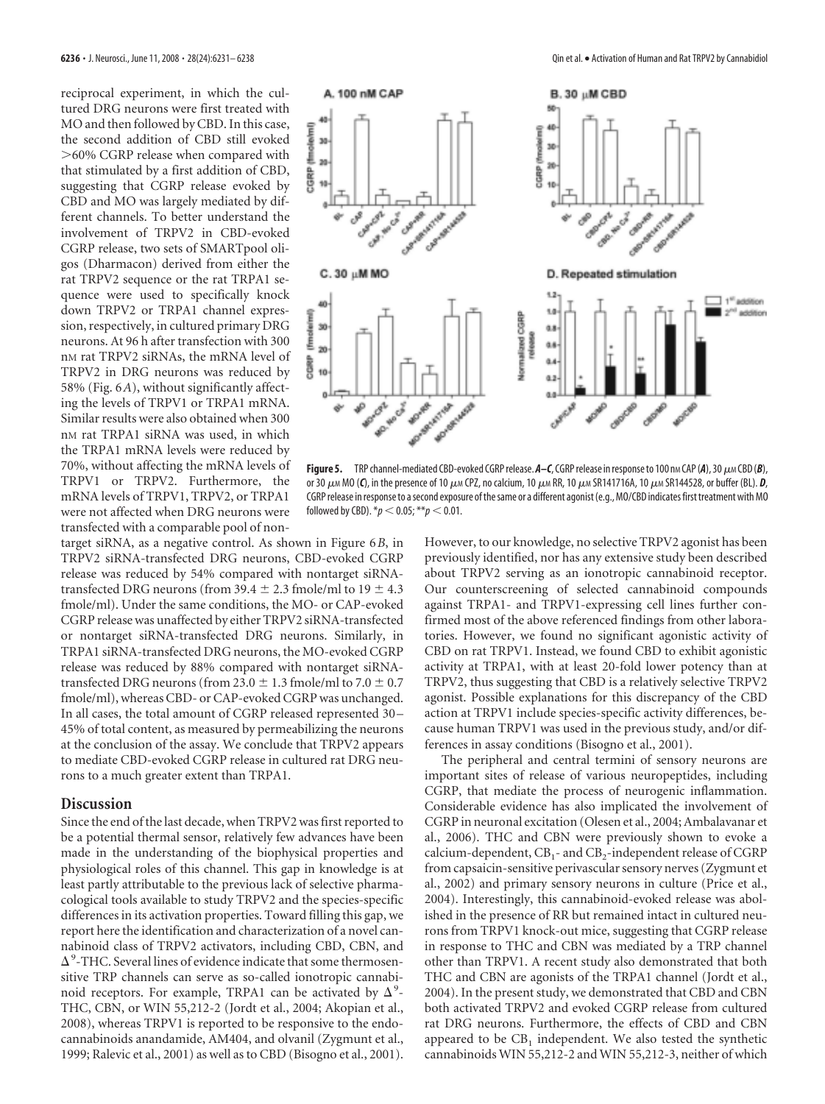reciprocal experiment, in which the cultured DRG neurons were first treated with MO and then followed by CBD. In this case, the second addition of CBD still evoked 60% CGRP release when compared with that stimulated by a first addition of CBD, suggesting that CGRP release evoked by CBD and MO was largely mediated by different channels. To better understand the involvement of TRPV2 in CBD-evoked CGRP release, two sets of SMARTpool oligos (Dharmacon) derived from either the rat TRPV2 sequence or the rat TRPA1 sequence were used to specifically knock down TRPV2 or TRPA1 channel expression, respectively, in cultured primary DRG neurons. At 96 h after transfection with 300 n<sub>M</sub> rat TRPV<sub>2</sub> siRNA<sub>s</sub>, the mRNA level of TRPV2 in DRG neurons was reduced by 58% (Fig. 6*A*), without significantly affecting the levels of TRPV1 or TRPA1 mRNA. Similar results were also obtained when 300 nM rat TRPA1 siRNA was used, in which the TRPA1 mRNA levels were reduced by 70%, without affecting the mRNA levels of TRPV1 or TRPV2. Furthermore, the mRNA levels of TRPV1, TRPV2, or TRPA1 were not affected when DRG neurons were transfected with a comparable pool of non-

target siRNA, as a negative control. As shown in Figure 6*B*, in TRPV2 siRNA-transfected DRG neurons, CBD-evoked CGRP release was reduced by 54% compared with nontarget siRNAtransfected DRG neurons (from 39.4  $\pm$  2.3 fmole/ml to 19  $\pm$  4.3 fmole/ml). Under the same conditions, the MO- or CAP-evoked CGRP release was unaffected by either TRPV2 siRNA-transfected or nontarget siRNA-transfected DRG neurons. Similarly, in TRPA1 siRNA-transfected DRG neurons, the MO-evoked CGRP release was reduced by 88% compared with nontarget siRNAtransfected DRG neurons (from 23.0  $\pm$  1.3 fmole/ml to 7.0  $\pm$  0.7 fmole/ml), whereas CBD- or CAP-evoked CGRP was unchanged. In all cases, the total amount of CGRP released represented 30 – 45% of total content, as measured by permeabilizing the neurons at the conclusion of the assay. We conclude that TRPV2 appears to mediate CBD-evoked CGRP release in cultured rat DRG neurons to a much greater extent than TRPA1.

# **Discussion**

Since the end of the last decade, when TRPV2 was first reported to be a potential thermal sensor, relatively few advances have been made in the understanding of the biophysical properties and physiological roles of this channel. This gap in knowledge is at least partly attributable to the previous lack of selective pharmacological tools available to study TRPV2 and the species-specific differences in its activation properties. Toward filling this gap, we report here the identification and characterization of a novel cannabinoid class of TRPV2 activators, including CBD, CBN, and  $\Delta$ <sup>9</sup>-THC. Several lines of evidence indicate that some thermosensitive TRP channels can serve as so-called ionotropic cannabinoid receptors. For example, TRPA1 can be activated by  $\Delta^9$ -THC, CBN, or WIN 55,212-2 (Jordt et al., 2004; Akopian et al., 2008), whereas TRPV1 is reported to be responsive to the endocannabinoids anandamide, AM404, and olvanil (Zygmunt et al., 1999; Ralevic et al., 2001) as well as to CBD (Bisogno et al., 2001).



Figure 5. TRP channel-mediated CBD-evoked CGRP release.  $A - C$ , CGRP release in response to 100 nm CAP (*A*), 30  $\mu$ m CBD (*B*), or 30  $\mu$ M MO (*C*), in the presence of 10  $\mu$ M CPZ, no calcium, 10  $\mu$ M RR, 10  $\mu$ M SR141716A, 10  $\mu$ M SR144528, or buffer (BL). *D*, CGRP release in response to a second exposure of the same or a different agonist (e.g., MO/CBD indicates first treatment with MO followed by CBD).  $* p < 0.05; ** p < 0.01$ .

However, to our knowledge, no selective TRPV2 agonist has been previously identified, nor has any extensive study been described about TRPV2 serving as an ionotropic cannabinoid receptor. Our counterscreening of selected cannabinoid compounds against TRPA1- and TRPV1-expressing cell lines further confirmed most of the above referenced findings from other laboratories. However, we found no significant agonistic activity of CBD on rat TRPV1. Instead, we found CBD to exhibit agonistic activity at TRPA1, with at least 20-fold lower potency than at TRPV2, thus suggesting that CBD is a relatively selective TRPV2 agonist. Possible explanations for this discrepancy of the CBD action at TRPV1 include species-specific activity differences, because human TRPV1 was used in the previous study, and/or differences in assay conditions (Bisogno et al., 2001).

The peripheral and central termini of sensory neurons are important sites of release of various neuropeptides, including CGRP, that mediate the process of neurogenic inflammation. Considerable evidence has also implicated the involvement of CGRP in neuronal excitation (Olesen et al., 2004; Ambalavanar et al., 2006). THC and CBN were previously shown to evoke a calcium-dependent,  $\text{CB}_1$ - and  $\text{CB}_2$ -independent release of CGRP from capsaicin-sensitive perivascular sensory nerves (Zygmunt et al., 2002) and primary sensory neurons in culture (Price et al., 2004). Interestingly, this cannabinoid-evoked release was abolished in the presence of RR but remained intact in cultured neurons from TRPV1 knock-out mice, suggesting that CGRP release in response to THC and CBN was mediated by a TRP channel other than TRPV1. A recent study also demonstrated that both THC and CBN are agonists of the TRPA1 channel (Jordt et al., 2004). In the present study, we demonstrated that CBD and CBN both activated TRPV2 and evoked CGRP release from cultured rat DRG neurons. Furthermore, the effects of CBD and CBN appeared to be  $\text{CB}_1$  independent. We also tested the synthetic cannabinoids WIN 55,212-2 and WIN 55,212-3, neither of which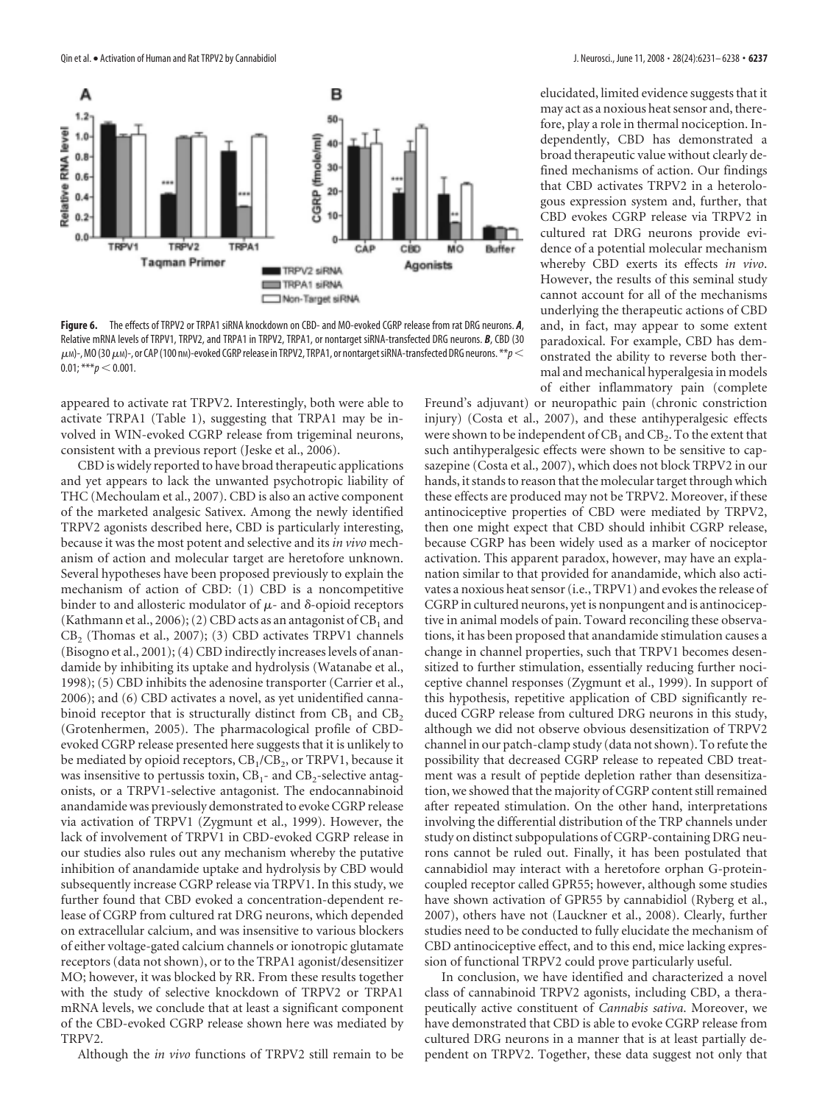

**Figure 6.** The effects of TRPV2 or TRPA1 siRNA knockdown on CBD- and MO-evoked CGRP release from rat DRG neurons. *A*, Relative mRNA levels of TRPV1, TRPV2, and TRPA1 in TRPV2, TRPA1, or nontarget siRNA-transfected DRG neurons. *B*, CBD (30  $\mu$ M)-, MO (30  $\mu$ M)-, or CAP (100 nM)-evoked CGRP release in TRPV2, TRPA1, or nontarget siRNA-transfected DRG neurons.  $*$  $\ast$ p $<$  $0.01;***p< 0.001.$ 

appeared to activate rat TRPV2. Interestingly, both were able to activate TRPA1 (Table 1), suggesting that TRPA1 may be involved in WIN-evoked CGRP release from trigeminal neurons, consistent with a previous report (Jeske et al., 2006).

CBD is widely reported to have broad therapeutic applications and yet appears to lack the unwanted psychotropic liability of THC (Mechoulam et al., 2007). CBD is also an active component of the marketed analgesic Sativex. Among the newly identified TRPV2 agonists described here, CBD is particularly interesting, because it was the most potent and selective and its *in vivo* mechanism of action and molecular target are heretofore unknown. Several hypotheses have been proposed previously to explain the mechanism of action of CBD: (1) CBD is a noncompetitive binder to and allosteric modulator of  $\mu$ - and  $\delta$ -opioid receptors (Kathmann et al., 2006); (2) CBD acts as an antagonist of  $\text{CB}_1$  and  $CB_2$  (Thomas et al., 2007); (3) CBD activates TRPV1 channels (Bisogno et al., 2001); (4) CBD indirectly increases levels of anandamide by inhibiting its uptake and hydrolysis (Watanabe et al., 1998); (5) CBD inhibits the adenosine transporter (Carrier et al., 2006); and (6) CBD activates a novel, as yet unidentified cannabinoid receptor that is structurally distinct from  $CB_1$  and  $CB_2$ (Grotenhermen, 2005). The pharmacological profile of CBDevoked CGRP release presented here suggests that it is unlikely to be mediated by opioid receptors,  $\text{CB}_1/\text{CB}_2$ , or TRPV1, because it was insensitive to pertussis toxin,  $CB_1$ - and  $CB_2$ -selective antagonists, or a TRPV1-selective antagonist. The endocannabinoid anandamide was previously demonstrated to evoke CGRP release via activation of TRPV1 (Zygmunt et al., 1999). However, the lack of involvement of TRPV1 in CBD-evoked CGRP release in our studies also rules out any mechanism whereby the putative inhibition of anandamide uptake and hydrolysis by CBD would subsequently increase CGRP release via TRPV1. In this study, we further found that CBD evoked a concentration-dependent release of CGRP from cultured rat DRG neurons, which depended on extracellular calcium, and was insensitive to various blockers of either voltage-gated calcium channels or ionotropic glutamate receptors (data not shown), or to the TRPA1 agonist/desensitizer MO; however, it was blocked by RR. From these results together with the study of selective knockdown of TRPV2 or TRPA1 mRNA levels, we conclude that at least a significant component of the CBD-evoked CGRP release shown here was mediated by TRPV2.

Although the *in vivo* functions of TRPV2 still remain to be

elucidated, limited evidence suggests that it may act as a noxious heat sensor and, therefore, play a role in thermal nociception. Independently, CBD has demonstrated a broad therapeutic value without clearly defined mechanisms of action. Our findings that CBD activates TRPV2 in a heterologous expression system and, further, that CBD evokes CGRP release via TRPV2 in cultured rat DRG neurons provide evidence of a potential molecular mechanism whereby CBD exerts its effects *in vivo*. However, the results of this seminal study cannot account for all of the mechanisms underlying the therapeutic actions of CBD and, in fact, may appear to some extent paradoxical. For example, CBD has demonstrated the ability to reverse both thermal and mechanical hyperalgesia in models of either inflammatory pain (complete

Freund's adjuvant) or neuropathic pain (chronic constriction injury) (Costa et al., 2007), and these antihyperalgesic effects were shown to be independent of  $\mathrm{CB}_1$  and  $\mathrm{CB}_2$ . To the extent that such antihyperalgesic effects were shown to be sensitive to capsazepine (Costa et al., 2007), which does not block TRPV2 in our hands, it stands to reason that the molecular target through which these effects are produced may not be TRPV2. Moreover, if these antinociceptive properties of CBD were mediated by TRPV2, then one might expect that CBD should inhibit CGRP release, because CGRP has been widely used as a marker of nociceptor activation. This apparent paradox, however, may have an explanation similar to that provided for anandamide, which also activates a noxious heat sensor (i.e., TRPV1) and evokes the release of CGRP in cultured neurons, yet is nonpungent and is antinociceptive in animal models of pain. Toward reconciling these observations, it has been proposed that anandamide stimulation causes a change in channel properties, such that TRPV1 becomes desensitized to further stimulation, essentially reducing further nociceptive channel responses (Zygmunt et al., 1999). In support of this hypothesis, repetitive application of CBD significantly reduced CGRP release from cultured DRG neurons in this study, although we did not observe obvious desensitization of TRPV2 channel in our patch-clamp study (data not shown). To refute the possibility that decreased CGRP release to repeated CBD treatment was a result of peptide depletion rather than desensitization, we showed that the majority of CGRP content still remained after repeated stimulation. On the other hand, interpretations involving the differential distribution of the TRP channels under study on distinct subpopulations of CGRP-containing DRG neurons cannot be ruled out. Finally, it has been postulated that cannabidiol may interact with a heretofore orphan G-proteincoupled receptor called GPR55; however, although some studies have shown activation of GPR55 by cannabidiol (Ryberg et al., 2007), others have not (Lauckner et al., 2008). Clearly, further studies need to be conducted to fully elucidate the mechanism of CBD antinociceptive effect, and to this end, mice lacking expression of functional TRPV2 could prove particularly useful.

In conclusion, we have identified and characterized a novel class of cannabinoid TRPV2 agonists, including CBD, a therapeutically active constituent of *Cannabis sativa*. Moreover, we have demonstrated that CBD is able to evoke CGRP release from cultured DRG neurons in a manner that is at least partially dependent on TRPV2. Together, these data suggest not only that